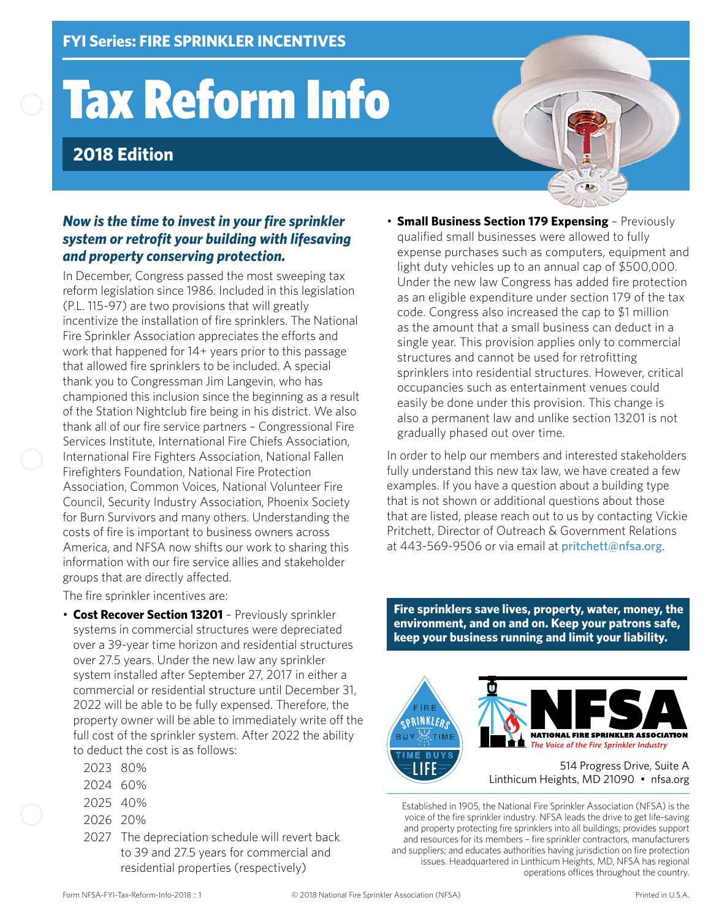# Tax Reform Info

## **2018 Edition**

#### *Now is the time to invest in your fire sprinkler system or retrofit your building with lifesaving and property conserving protection.*

In December, Congress passed the most sweeping tax reform legislation since 1986. Included in this legislation (P.L. 115-97) are two provisions that will greatly incentivize the installation of fire sprinklers. The National Fire Sprinkler Association appreciates the efforts and work that happened for 14+ years prior to this passage that allowed fire sprinklers to be included. A special thank you to Congressman Jim Langevin, who has championed this inclusion since the beginning as a result of the Station Nightclub fire being in his district. We also thank all of our fire service partners – Congressional Fire Services Institute, International Fire Chiefs Association, International Fire Fighters Association, National Fallen Firefighters Foundation, National Fire Protection Association, Common Voices, National Volunteer Fire Council, Security Industry Association, Phoenix Society for Burn Survivors and many others. Understanding the costs of fire is important to business owners across America, and NFSA now shifts our work to sharing this information with our fire service allies and stakeholder groups that are directly affected.

The fire sprinkler incentives are:

- **Cost Recover Section 13201** Previously sprinkler systems in commercial structures were depreciated over a 39-year time horizon and residential structures over 27.5 years. Under the new law any sprinkler system installed after September 27, 2017 in either a commercial or residential structure until December 31, 2022 will be able to be fully expensed. Therefore, the property owner will be able to immediately write off the full cost of the sprinkler system. After 2022 the ability to deduct the cost is as follows:
	- 2023 80%
	- 2024 60%
	- 2025 40%
	- 2026 20%
	- 2027 The depreciation schedule will revert back to 39 and 27.5 years for commercial and residential properties (respectively)

• **Small Business Section 179 Expensing** – Previously qualified small businesses were allowed to fully expense purchases such as computers, equipment and light duty vehicles up to an annual cap of \$500,000. Under the new law Congress has added fire protection as an eligible expenditure under section 179 of the tax code. Congress also increased the cap to \$1 million as the amount that a small business can deduct in a single year. This provision applies only to commercial structures and cannot be used for retrofitting sprinklers into residential structures. However, critical occupancies such as entertainment venues could easily be done under this provision. This change is also a permanent law and unlike section 13201 is not gradually phased out over time.

In order to help our members and interested stakeholders fully understand this new tax law, we have created a few examples. If you have a question about a building type that is not shown or additional questions about those that are listed, please reach out to us by contacting Vickie Pritchett, Director of Outreach & Government Relations at 443-569-9506 or via email at [pritchett@nfsa.org](mailto:pritchett@nfsa.org).

**Fire sprinklers save lives, property, water, money, the environment, and on and on. Keep your patrons safe, keep your business running and limit your liability.**



Established in 1905, the National Fire Sprinkler Association (NFSA) is the voice of the fire sprinkler industry. NFSA leads the drive to get life-saving and property protecting fire sprinklers into all buildings; provides support and resources for its members – fire sprinkler contractors, manufacturers and suppliers; and educates authorities having jurisdiction on fire protection issues. Headquartered in Linthicum Heights, MD, NFSA has regional operations offices throughout the country.